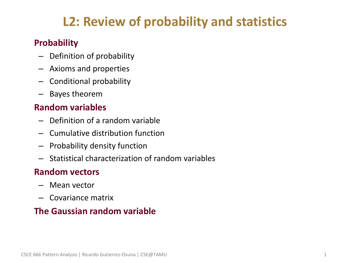# **L2: Review of probability and statistics**

## • **Probability**

- Definition of probability
- Axioms and properties
- Conditional probability
- Bayes theorem

#### • **Random variables**

- Definition of a random variable
- Cumulative distribution function
- Probability density function
- Statistical characterization of random variables

#### • **Random vectors**

- Mean vector
- Covariance matrix

#### • **The Gaussian random variable**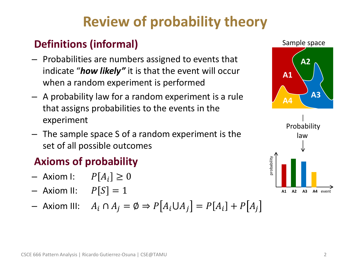# **Review of probability theory**

# • **Definitions (informal)**

- Probabilities are numbers assigned to events that indicate "*how likely"* it is that the event will occur when a random experiment is performed
- A probability law for a random experiment is a rule that assigns probabilities to the events in the experiment
- The sample space S of a random experiment is the set of all possible outcomes

# • **Axioms of probability**

- Axiom I:  $P[A_i] \geq 0$
- Axiom II:  $P[S] = 1$
- Axiom III:  $A_i \cap A_j = \emptyset \Rightarrow P[A_i \cup A_j] = P[A_i] + P[A_j]$

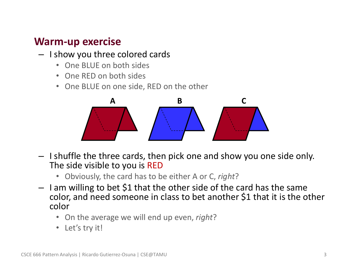# • **Warm-up exercise**

- I show you three colored cards
	- One BLUE on both sides
	- One RED on both sides
	- One BLUE on one side, RED on the other



- I shuffle the three cards, then pick one and show you one side only. The side visible to you is RED
	- Obviously, the card has to be either A or C, *right*?
- I am willing to bet \$1 that the other side of the card has the same color, and need someone in class to bet another \$1 that it is the other color
	- On the average we will end up even, *right*?
	- Let's try it!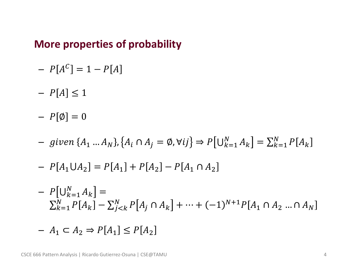## • **More properties of probability**

- $P[A^C] = 1 P[A]$
- $P[A] \leq 1$

 $- P[\emptyset] = 0$ 

 $-$  given { $A_1 ... A_N$ }, { $A_i \cap A_j = \emptyset$ ,  $\forall ij$ }  $\Rightarrow P[\bigcup_{k=1}^{N} A_k] = \sum_{k=1}^{N} P[A_k]$  $k=1$ 

$$
- P[A_1 \cup A_2] = P[A_1] + P[A_2] - P[A_1 \cap A_2]
$$

$$
- P[U_{k=1}^N A_k] =
$$
  

$$
\sum_{k=1}^N P[A_k] - \sum_{j < k}^N P[A_j \cap A_k] + \dots + (-1)^{N+1} P[A_1 \cap A_2 \dots \cap A_N]
$$

 $-A_1 \subset A_2 \Rightarrow P[A_1] \leq P[A_2]$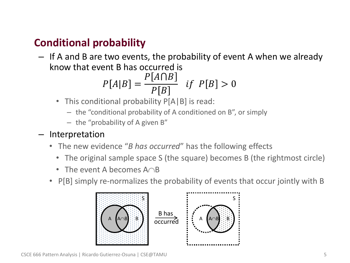# • **Conditional probability**

– If A and B are two events, the probability of event A when we already know that event B has occurred is

$$
P[A|B] = \frac{P[A \cap B]}{P[B]} \quad \text{if} \quad P[B] > 0
$$

- This conditional probability  $P[A|B]$  is read:
	- the "conditional probability of A conditioned on B", or simply
	- the "probability of A given B"

#### – Interpretation

- The new evidence "*B has occurred*" has the following effects
	- The original sample space S (the square) becomes B (the rightmost circle)
	- The event A becomes  $A \cap B$
- P[B] simply re-normalizes the probability of events that occur jointly with B

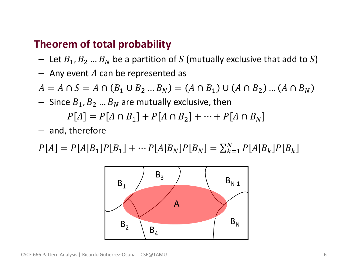# • **Theorem of total probability**

- Let  $B_1, B_2, ..., B_N$  be a partition of S (mutually exclusive that add to S)
- $-$  Any event A can be represented as
- $A = A \cap S = A \cap (B_1 \cup B_2 ... B_N) = (A \cap B_1) \cup (A \cap B_2) ... (A \cap B_N)$
- Since  $B_1, B_2, \ldots, B_N$  are mutually exclusive, then

$$
P[A] = P[A \cap B_1] + P[A \cap B_2] + \dots + P[A \cap B_N]
$$

– and, therefore

 $P[A] = P[A|B_1]P[B_1] + \cdots P[A|B_N]P[B_N] = \sum_{k=1}^{N} P[A|B_k]P[B_k]$  $k=1$ 

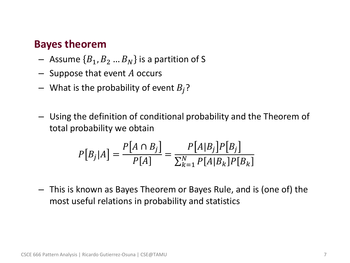### • **Bayes theorem**

- Assume  $\{B_1,B_2...B_N\}$  is a partition of S
- $-$  Suppose that event A occurs
- What is the probability of event  $B_i$ ?
- Using the definition of conditional probability and the Theorem of total probability we obtain

$$
P[B_j|A] = \frac{P[A \cap B_j]}{P[A]} = \frac{P[A|B_j]P[B_j]}{\sum_{k=1}^{N} P[A|B_k]P[B_k]}
$$

– This is known as Bayes Theorem or Bayes Rule, and is (one of) the most useful relations in probability and statistics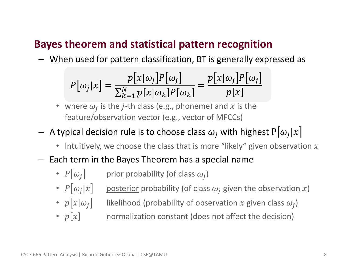# • **Bayes theorem and statistical pattern recognition**

– When used for pattern classification, BT is generally expressed as

$$
P[\omega_j | x] = \frac{p[x|\omega_j]P[\omega_j]}{\sum_{k=1}^N p[x|\omega_k]P[\omega_k]} = \frac{p[x|\omega_j]P[\omega_j]}{p[x]}
$$

- where  $\omega_j$  is the *j*-th class (e.g., phoneme) and x is the feature/observation vector (e.g., vector of MFCCs)
- $-$  A typical decision rule is to choose class  $\omega_j$  with highest  $\mathrm{P}[\omega_j|x]$ 
	- Intuitively, we choose the class that is more "likely" given observation  $x$
- Each term in the Bayes Theorem has a special name
	- $P[\omega_j]$  prior probability (of class  $\omega_j$ )
	- $P[\omega_j|x]$  bosterior probability (of class  $\omega_j$  given the observation x)
	- $p[x|\omega_j]$  iikelihood (probability of observation x given class  $\omega_j$ )
	- $p[x]$  normalization constant (does not affect the decision)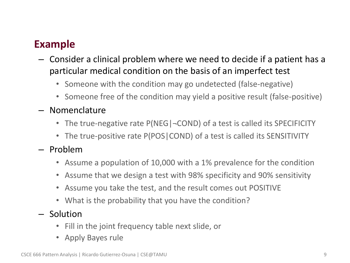# • **Example**

- Consider a clinical problem where we need to decide if a patient has a particular medical condition on the basis of an imperfect test
	- Someone with the condition may go undetected (false-negative)
	- Someone free of the condition may yield a positive result (false-positive)
- Nomenclature
	- The true-negative rate P(NEG  $\sim$  COND) of a test is called its SPECIFICITY
	- The true-positive rate P(POS|COND) of a test is called its SENSITIVITY
- Problem
	- Assume a population of 10,000 with a 1% prevalence for the condition
	- Assume that we design a test with 98% specificity and 90% sensitivity
	- Assume you take the test, and the result comes out POSITIVE
	- What is the probability that you have the condition?
- Solution
	- Fill in the joint frequency table next slide, or
	- Apply Bayes rule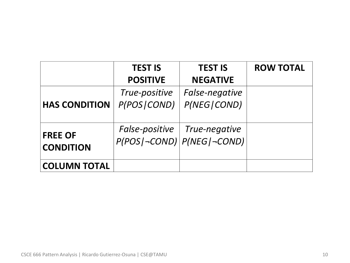|                      | <b>TEST IS</b>  | <b>TEST IS</b>                 | <b>ROW TOTAL</b> |
|----------------------|-----------------|--------------------------------|------------------|
|                      | <b>POSITIVE</b> | <b>NEGATIVE</b>                |                  |
|                      | True-positive   | False-negative                 |                  |
| <b>HAS CONDITION</b> | P(POS   COND)   | P(NEG   COND)                  |                  |
|                      |                 |                                |                  |
|                      |                 | False-positive   True-negative |                  |
| <b>FREE OF</b>       |                 | $P(POS -COND) P(NEG -COND) $   |                  |
| <b>CONDITION</b>     |                 |                                |                  |
| <b>COLUMN TOTAL</b>  |                 |                                |                  |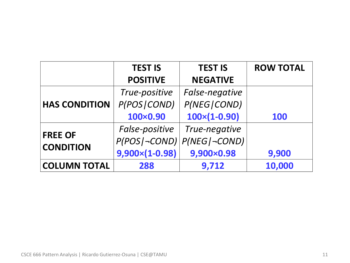|                                    | <b>TEST IS</b>        | <b>TEST IS</b>       | <b>ROW TOTAL</b> |
|------------------------------------|-----------------------|----------------------|------------------|
|                                    | <b>POSITIVE</b>       | <b>NEGATIVE</b>      |                  |
| <b>HAS CONDITION</b>               | True-positive         | False-negative       |                  |
|                                    | P(POS   COND)         | P(NEG   COND)        |                  |
|                                    | 100×0.90              | $100\times(1-0.90)$  | <b>100</b>       |
| <b>FREE OF</b><br><b>CONDITION</b> | False-positive        | True-negative        |                  |
|                                    | $P(POS$ $\neg COND)$  | $P(NEG$ $\neg COND)$ |                  |
|                                    | $9,900\times(1-0.98)$ | 9,900×0.98           | 9,900            |
| <b>COLUMN TOTAL</b>                | 288                   | 9,712                | 10,000           |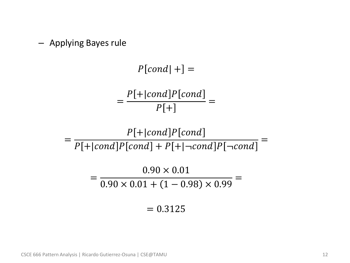– Applying Bayes rule

 $P[cond|+] =$ =  $P[+|cond]P[cond]$  $P[+$ =

=  $P[+|cond]P[cond]$  $P[+|cond]P[cond] + P[+|–cond]P[-cond]$ =

> =  $0.90 \times 0.01$  $0.90 \times 0.01 + (1 - 0.98) \times 0.99$ =

> > $= 0.3125$

CSCE 666 Pattern Analysis | Ricardo Gutierrez-Osuna | CSE@TAMU 12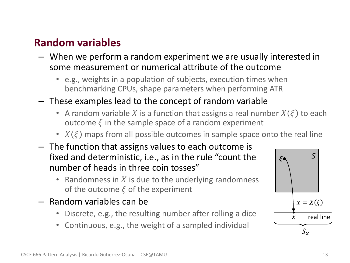# • **Random variables**

- When we perform a random experiment we are usually interested in some measurement or numerical attribute of the outcome
	- e.g., weights in a population of subjects, execution times when benchmarking CPUs, shape parameters when performing ATR
- These examples lead to the concept of random variable
	- A random variable X is a function that assigns a real number  $X(\xi)$  to each outcome  $\xi$  in the sample space of a random experiment
	- $X(\xi)$  maps from all possible outcomes in sample space onto the real line
- The function that assigns values to each outcome is fixed and deterministic, i.e., as in the rule "count the number of heads in three coin tosses"
	- Randomness in  $X$  is due to the underlying randomness of the outcome  $\xi$  of the experiment
- Random variables can be
	- Discrete, e.g., the resulting number after rolling a dice
	- Continuous, e.g., the weight of a sampled individual

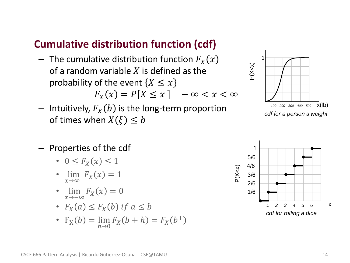# • **Cumulative distribution function (cdf)**

- $-$  The cumulative distribution function  $F_X(x)$ of a random variable  $X$  is defined as the probability of the event  $\{X \leq x\}$  $F_X(x) = P[X \le x]$   $-\infty < x < \infty$
- Intuitively,  $F_X(b)$  is the long-term proportion of times when  $X(\xi) \leq b$



- Properties of the cdf
	- $0 \leq F_X(x) \leq 1$
	- lim  $\lim_{x\to\infty} F_X(x) = 1$
	- lim  $\lim_{x \to -\infty} F_X(x) = 0$
	- $F_X(a) \leq F_X(b)$  if  $a \leq b$
	- $F_X(b) = \lim_{h \to 0} F_X(b+h) = F_X(b^+)$

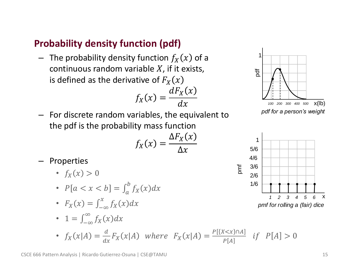# • **Probability density function (pdf)**

 $-$  The probability density function  $f_X(x)$  of a continuous random variable  $X$ , if it exists, is defined as the derivative of  $F<sub>x</sub>(x)$ 

$$
f_X(x) = \frac{dF_X(x)}{dx}
$$



– For discrete random variables, the equivalent to the pdf is the probability mass function

$$
f_X(x) = \frac{\Delta F_X(x)}{\Delta x}
$$

- Properties
	- $f_X(x) > 0$
	- $P[a < x < b] = \int_{a}^{b} f_{X}(x) dx$
	- $F_X(x) = \int_{-\infty}^x f_X(x) dx$
	- $1 = \int_{-\infty}^{\infty} f_X(x) dx$
	- $f_X(x|A) = \frac{d}{dx}$  $\frac{d}{dx}F_X(x|A)$  where  $F_X(x|A) = \frac{P[\{X \le x\} \cap A]}{P[A]}$  $\frac{N \times x_{j+1} - x_j}{P[A]}$  if  $P[A] > 0$



#### CSCE 666 Pattern Analysis | Ricardo Gutierrez-Osuna | CSE@TAMU 15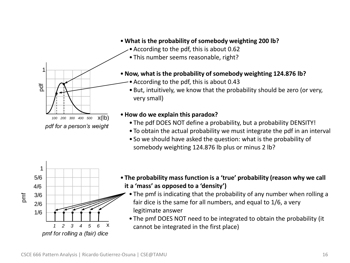

- **What is the probability of somebody weighting 200 lb?**
	- •According to the pdf, this is about 0.62
	- This number seems reasonable, right?
- •**Now, what is the probability of somebody weighting 124.876 lb?** 
	- •According to the pdf, this is about 0.43
	- •But, intuitively, we know that the probability should be zero (or very, very small)

#### •**How do we explain this paradox?**

- The pdf DOES NOT define a probability, but a probability DENSITY!
- To obtain the actual probability we must integrate the pdf in an interval
- So we should have asked the question: what is the probability of somebody weighting 124.876 lb plus or minus 2 lb?



- **The probability mass function is a 'true' probability (reason why we call it a 'mass' as opposed to a 'density')**
	- The pmf is indicating that the probability of any number when rolling a fair dice is the same for all numbers, and equal to 1/6, a very legitimate answer
	- The pmf DOES NOT need to be integrated to obtain the probability (it cannot be integrated in the first place)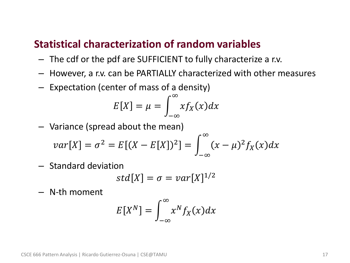# • **Statistical characterization of random variables**

- The cdf or the pdf are SUFFICIENT to fully characterize a r.v.
- However, a r.v. can be PARTIALLY characterized with other measures
- Expectation (center of mass of a density)

$$
E[X] = \mu = \int_{-\infty}^{\infty} x f_X(x) dx
$$

– Variance (spread about the mean)

$$
var[X] = \sigma^{2} = E[(X - E[X])^{2}] = \int_{-\infty}^{\infty} (x - \mu)^{2} f_{X}(x) dx
$$

– Standard deviation

$$
std[X] = \sigma = var[X]^{1/2}
$$

– N-th moment

$$
E[X^N] = \int_{-\infty}^{\infty} x^N f_X(x) dx
$$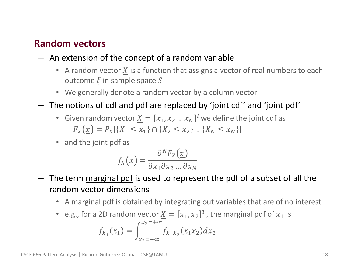#### • **Random vectors**

- An extension of the concept of a random variable
	- A random vector  $X$  is a function that assigns a vector of real numbers to each outcome  $\xi$  in sample space S
	- We generally denote a random vector by a column vector
- The notions of cdf and pdf are replaced by 'joint cdf' and 'joint pdf'
	- Given random vector  $\underline{X} = [x_1, x_2 ... x_N]^T$  we define the joint cdf as  $F_X(\underline{x}) = P_X[\{X_1 \le x_1\} \cap \{X_2 \le x_2\} \dots \{X_N \le x_N\}]$
	- and the joint pdf as

$$
f_{\underline{X}}(\underline{x}) = \frac{\partial^N F_{\underline{X}}(\underline{x})}{\partial x_1 \partial x_2 \dots \partial x_N}
$$

- The term marginal pdf is used to represent the pdf of a subset of all the random vector dimensions
	- A marginal pdf is obtained by integrating out variables that are of no interest
	- e.g., for a 2D random vector  $\underline{X} = [x_1, x_2]^T$ , the marginal pdf of  $x_1$  is

$$
f_{X_1}(x_1) = \int_{x_2 = -\infty}^{x_2 = +\infty} f_{X_1 X_2}(x_1 x_2) dx_2
$$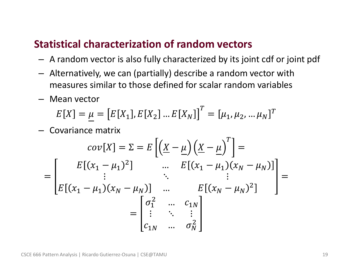# • **Statistical characterization of random vectors**

- A random vector is also fully characterized by its joint cdf or joint pdf
- Alternatively, we can (partially) describe a random vector with measures similar to those defined for scalar random variables
- Mean vector

$$
E[X] = \underline{\mu} = [E[X_1], E[X_2] \dots E[X_N]]^T = [\mu_1, \mu_2, \dots \mu_N]^T
$$

– Covariance matrix

$$
cov[X] = \sum E\left[\left(\underline{X} - \underline{\mu}\right)\left(\underline{X} - \underline{\mu}\right)^{T}\right] =
$$
\n
$$
= \begin{bmatrix} E\left[(x_{1} - \mu_{1})^{2}\right] & \cdots & E\left[(x_{1} - \mu_{1})(x_{N} - \mu_{N})\right] \\ \vdots & \ddots & \vdots \\ E\left[(x_{1} - \mu_{1})(x_{N} - \mu_{N})\right] & \cdots & E\left[(x_{N} - \mu_{N})^{2}\right] \\ \vdots & \ddots & \vdots \\ c_{1N} & \cdots & \sigma_{N}^{2} \end{bmatrix} =
$$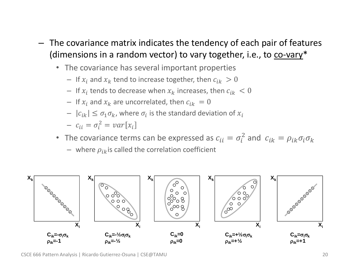- The covariance matrix indicates the tendency of each pair of features (dimensions in a random vector) to vary together, i.e., to co-vary\*
	- The covariance has several important properties
		- If  $x_i$  and  $x_k$  tend to increase together, then  $c_{ik} > 0$
		- $-$  If  $x_i$  tends to decrease when  $x_k$  increases, then  $c_{ik} < 0$
		- If  $x_i$  and  $x_k$  are uncorrelated, then  $c_{ik} = 0$
		- $|c_{ik}| \leq \sigma_1 \sigma_k$ , where  $\sigma_i$  is the standard deviation of  $x_i$
		- $-c_{ii} = \sigma_i^2 = var[x_i]$
	- The covariance terms can be expressed as  $c_{ii} = \sigma_i^2$  and  $c_{ik} = \rho_{ik}\sigma_i\sigma_k$ 
		- where  $\rho_{ik}$  is called the correlation coefficient



CSCE 666 Pattern Analysis | Ricardo Gutierrez-Osuna | CSE@TAMU 20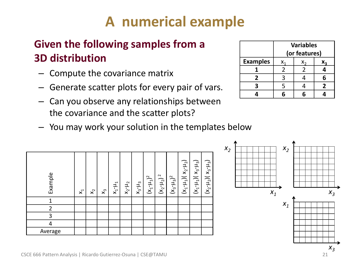# **A numerical example**

# • **Given the following samples from a 3D distribution**

- Compute the covariance matrix
- Generate scatter plots for every pair of vars.
- Can you observe any relationships between the covariance and the scatter plots?
- You may work your solution in the templates below



|                 | <b>Variables</b><br>(or features) |  |   |
|-----------------|-----------------------------------|--|---|
| <b>Examples</b> | Χ.                                |  |   |
|                 |                                   |  |   |
| 2               | ς                                 |  | 6 |
| 3               | 5                                 |  | 2 |
|                 |                                   |  |   |

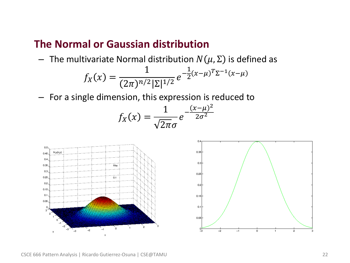## • **The Normal or Gaussian distribution**

– The multivariate Normal distribution  $N(\mu, \Sigma)$  is defined as

$$
f_X(x) = \frac{1}{(2\pi)^{n/2} |\Sigma|^{1/2}} e^{-\frac{1}{2}(x-\mu)^T \Sigma^{-1} (x-\mu)}
$$

– For a single dimension, this expression is reduced to

$$
f_X(x) = \frac{1}{\sqrt{2\pi}\sigma}e^{-\frac{(x-\mu)^2}{2\sigma^2}}
$$

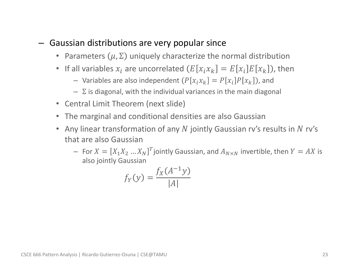#### – Gaussian distributions are very popular since

- Parameters  $(\mu, \Sigma)$  uniquely characterize the normal distribution
- If all variables  $x_i$  are uncorrelated  $(E[x_i x_k] = E[x_i]E[x_k])$ , then
	- Variables are also independent  $(P[x_i x_k] = P[x_i]P[x_k])$ , and
	- $-\Sigma$  is diagonal, with the individual variances in the main diagonal
- Central Limit Theorem (next slide)
- The marginal and conditional densities are also Gaussian
- Any linear transformation of any  $N$  jointly Gaussian ry's results in  $N$  ry's that are also Gaussian
	- For  $X = [X_1 X_2 ... X_N]^T$ jointly Gaussian, and  $A_{N \times N}$  invertible, then  $Y = AX$  is also jointly Gaussian

$$
f_Y(y) = \frac{f_X(A^{-1}y)}{|A|}
$$